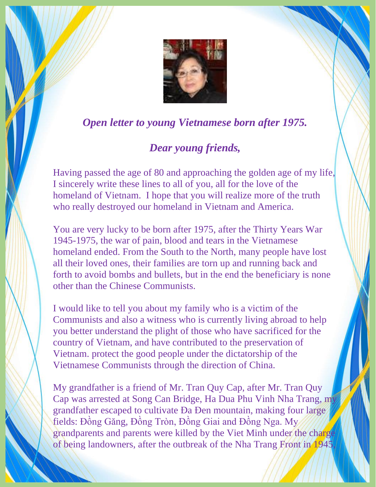

## *Open letter to young Vietnamese born after 1975.*

## *Dear young friends,*

Having passed the age of 80 and approaching the golden age of my life, I sincerely write these lines to all of you, all for the love of the homeland of Vietnam. I hope that you will realize more of the truth who really destroyed our homeland in Vietnam and America.

You are very lucky to be born after 1975, after the Thirty Years War 1945-1975, the war of pain, blood and tears in the Vietnamese homeland ended. From the South to the North, many people have lost all their loved ones, their families are torn up and running back and forth to avoid bombs and bullets, but in the end the beneficiary is none other than the Chinese Communists.

I would like to tell you about my family who is a victim of the Communists and also a witness who is currently living abroad to help you better understand the plight of those who have sacrificed for the country of Vietnam, and have contributed to the preservation of Vietnam. protect the good people under the dictatorship of the Vietnamese Communists through the direction of China.

My grandfather is a friend of Mr. Tran Quy Cap, after Mr. Tran Quy Cap was arrested at Song Can Bridge, Ha Dua Phu Vinh Nha Trang, my grandfather escaped to cultivate Đa Đen mountain, making four large fields: Đồng Găng, Đồng Tròn, Đồng Giai and Đồng Nga. My grandparents and parents were killed by the Viet Minh under the charge of being landowners, after the outbreak of the Nha Trang Front in 1945,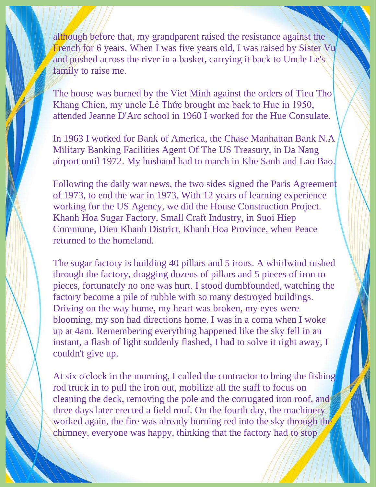although before that, my grandparent raised the resistance against the French for 6 years. When I was five years old, I was raised by Sister Vu and pushed across the river in a basket, carrying it back to Uncle Le's family to raise me.

The house was burned by the Viet Minh against the orders of Tieu Tho Khang Chien, my uncle Lê Thức brought me back to Hue in 1950, attended Jeanne D'Arc school in 1960 I worked for the Hue Consulate.

In 1963 I worked for Bank of America, the Chase Manhattan Bank N.A Military Banking Facilities Agent Of The US Treasury, in Da Nang airport until 1972. My husband had to march in Khe Sanh and Lao Bao.

Following the daily war news, the two sides signed the Paris Agreement of 1973, to end the war in 1973. With 12 years of learning experience working for the US Agency, we did the House Construction Project. Khanh Hoa Sugar Factory, Small Craft Industry, in Suoi Hiep Commune, Dien Khanh District, Khanh Hoa Province, when Peace returned to the homeland.

The sugar factory is building 40 pillars and 5 irons. A whirlwind rushed through the factory, dragging dozens of pillars and 5 pieces of iron to pieces, fortunately no one was hurt. I stood dumbfounded, watching the factory become a pile of rubble with so many destroyed buildings. Driving on the way home, my heart was broken, my eyes were blooming, my son had directions home. I was in a coma when I woke up at 4am. Remembering everything happened like the sky fell in an instant, a flash of light suddenly flashed, I had to solve it right away, I couldn't give up.

At six o'clock in the morning, I called the contractor to bring the fishing rod truck in to pull the iron out, mobilize all the staff to focus on cleaning the deck, removing the pole and the corrugated iron roof, and three days later erected a field roof. On the fourth day, the machinery worked again, the fire was already burning red into the sky through the chimney, everyone was happy, thinking that the factory had to stop